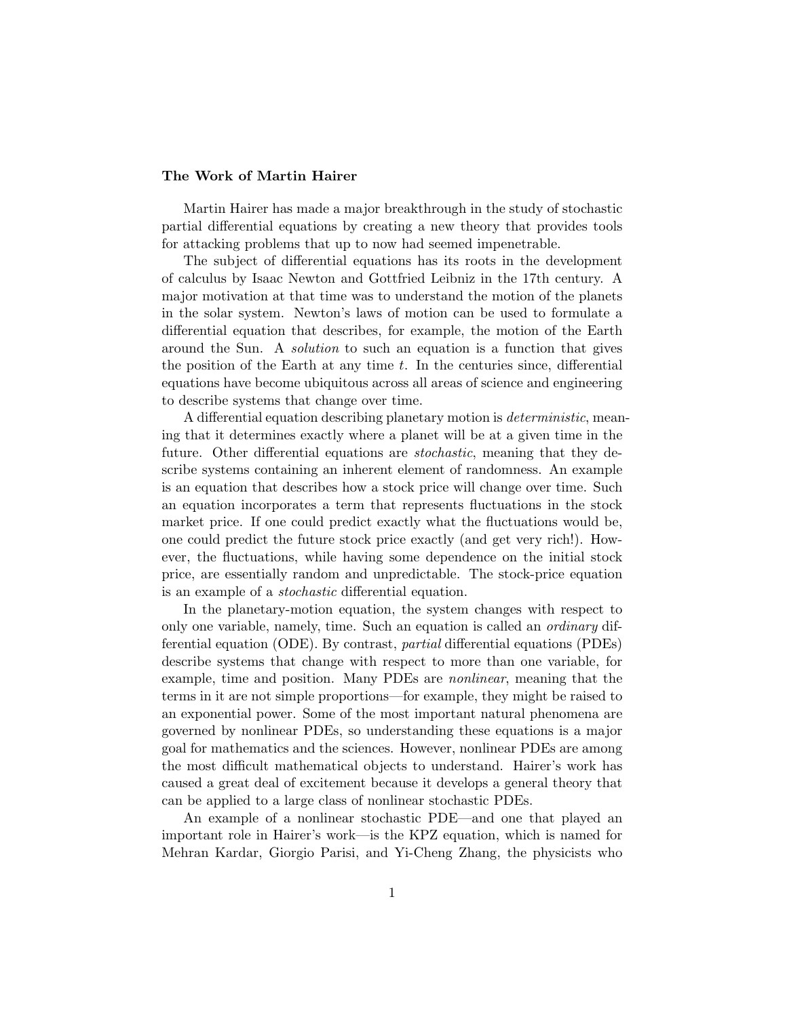## The Work of Martin Hairer

Martin Hairer has made a major breakthrough in the study of stochastic partial differential equations by creating a new theory that provides tools for attacking problems that up to now had seemed impenetrable.

The subject of differential equations has its roots in the development of calculus by Isaac Newton and Gottfried Leibniz in the 17th century. A major motivation at that time was to understand the motion of the planets in the solar system. Newton's laws of motion can be used to formulate a differential equation that describes, for example, the motion of the Earth around the Sun. A solution to such an equation is a function that gives the position of the Earth at any time  $t$ . In the centuries since, differential equations have become ubiquitous across all areas of science and engineering to describe systems that change over time.

A differential equation describing planetary motion is deterministic, meaning that it determines exactly where a planet will be at a given time in the future. Other differential equations are *stochastic*, meaning that they describe systems containing an inherent element of randomness. An example is an equation that describes how a stock price will change over time. Such an equation incorporates a term that represents fluctuations in the stock market price. If one could predict exactly what the fluctuations would be, one could predict the future stock price exactly (and get very rich!). However, the fluctuations, while having some dependence on the initial stock price, are essentially random and unpredictable. The stock-price equation is an example of a stochastic differential equation.

In the planetary-motion equation, the system changes with respect to only one variable, namely, time. Such an equation is called an ordinary differential equation (ODE). By contrast, partial differential equations (PDEs) describe systems that change with respect to more than one variable, for example, time and position. Many PDEs are nonlinear, meaning that the terms in it are not simple proportions—for example, they might be raised to an exponential power. Some of the most important natural phenomena are governed by nonlinear PDEs, so understanding these equations is a major goal for mathematics and the sciences. However, nonlinear PDEs are among the most difficult mathematical objects to understand. Hairer's work has caused a great deal of excitement because it develops a general theory that can be applied to a large class of nonlinear stochastic PDEs.

An example of a nonlinear stochastic PDE—and one that played an important role in Hairer's work—is the KPZ equation, which is named for Mehran Kardar, Giorgio Parisi, and Yi-Cheng Zhang, the physicists who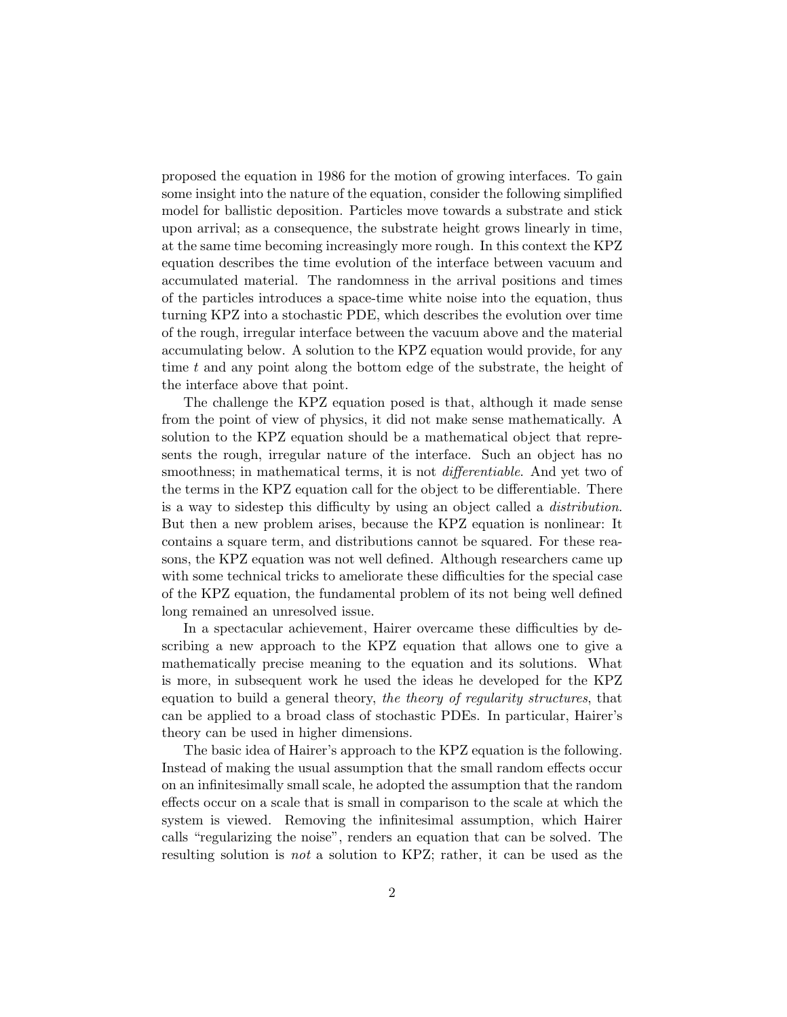proposed the equation in 1986 for the motion of growing interfaces. To gain some insight into the nature of the equation, consider the following simplified model for ballistic deposition. Particles move towards a substrate and stick upon arrival; as a consequence, the substrate height grows linearly in time, at the same time becoming increasingly more rough. In this context the KPZ equation describes the time evolution of the interface between vacuum and accumulated material. The randomness in the arrival positions and times of the particles introduces a space-time white noise into the equation, thus turning KPZ into a stochastic PDE, which describes the evolution over time of the rough, irregular interface between the vacuum above and the material accumulating below. A solution to the KPZ equation would provide, for any time  $t$  and any point along the bottom edge of the substrate, the height of the interface above that point.

The challenge the KPZ equation posed is that, although it made sense from the point of view of physics, it did not make sense mathematically. A solution to the KPZ equation should be a mathematical object that represents the rough, irregular nature of the interface. Such an object has no smoothness; in mathematical terms, it is not *differentiable*. And yet two of the terms in the KPZ equation call for the object to be differentiable. There is a way to sidestep this difficulty by using an object called a distribution. But then a new problem arises, because the KPZ equation is nonlinear: It contains a square term, and distributions cannot be squared. For these reasons, the KPZ equation was not well defined. Although researchers came up with some technical tricks to ameliorate these difficulties for the special case of the KPZ equation, the fundamental problem of its not being well defined long remained an unresolved issue.

In a spectacular achievement, Hairer overcame these difficulties by describing a new approach to the KPZ equation that allows one to give a mathematically precise meaning to the equation and its solutions. What is more, in subsequent work he used the ideas he developed for the KPZ equation to build a general theory, the theory of regularity structures, that can be applied to a broad class of stochastic PDEs. In particular, Hairer's theory can be used in higher dimensions.

The basic idea of Hairer's approach to the KPZ equation is the following. Instead of making the usual assumption that the small random effects occur on an infinitesimally small scale, he adopted the assumption that the random effects occur on a scale that is small in comparison to the scale at which the system is viewed. Removing the infinitesimal assumption, which Hairer calls "regularizing the noise", renders an equation that can be solved. The resulting solution is not a solution to KPZ; rather, it can be used as the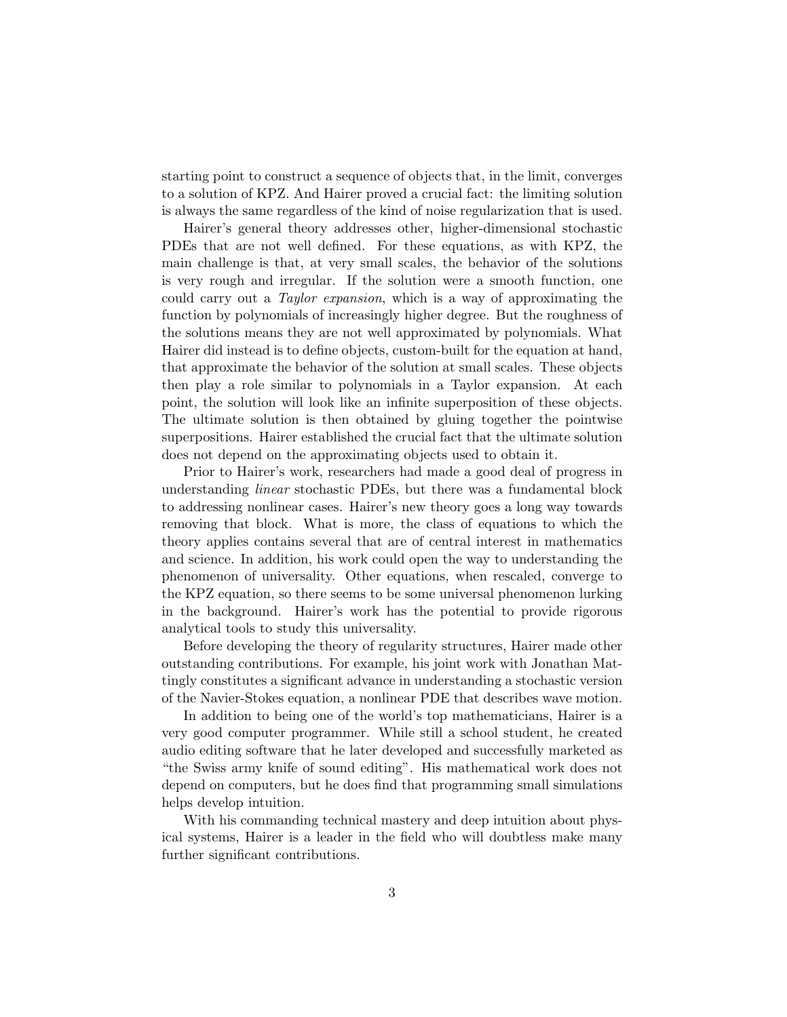starting point to construct a sequence of objects that, in the limit, converges to a solution of KPZ. And Hairer proved a crucial fact: the limiting solution is always the same regardless of the kind of noise regularization that is used.

Hairer's general theory addresses other, higher-dimensional stochastic PDEs that are not well defined. For these equations, as with KPZ, the main challenge is that, at very small scales, the behavior of the solutions is very rough and irregular. If the solution were a smooth function, one could carry out a Taylor expansion, which is a way of approximating the function by polynomials of increasingly higher degree. But the roughness of the solutions means they are not well approximated by polynomials. What Hairer did instead is to define objects, custom-built for the equation at hand, that approximate the behavior of the solution at small scales. These objects then play a role similar to polynomials in a Taylor expansion. At each point, the solution will look like an infinite superposition of these objects. The ultimate solution is then obtained by gluing together the pointwise superpositions. Hairer established the crucial fact that the ultimate solution does not depend on the approximating objects used to obtain it.

Prior to Hairer's work, researchers had made a good deal of progress in understanding linear stochastic PDEs, but there was a fundamental block to addressing nonlinear cases. Hairer's new theory goes a long way towards removing that block. What is more, the class of equations to which the theory applies contains several that are of central interest in mathematics and science. In addition, his work could open the way to understanding the phenomenon of universality. Other equations, when rescaled, converge to the KPZ equation, so there seems to be some universal phenomenon lurking in the background. Hairer's work has the potential to provide rigorous analytical tools to study this universality.

Before developing the theory of regularity structures, Hairer made other outstanding contributions. For example, his joint work with Jonathan Mattingly constitutes a significant advance in understanding a stochastic version of the Navier-Stokes equation, a nonlinear PDE that describes wave motion.

In addition to being one of the world's top mathematicians, Hairer is a very good computer programmer. While still a school student, he created audio editing software that he later developed and successfully marketed as "the Swiss army knife of sound editing". His mathematical work does not depend on computers, but he does find that programming small simulations helps develop intuition.

With his commanding technical mastery and deep intuition about physical systems, Hairer is a leader in the field who will doubtless make many further significant contributions.